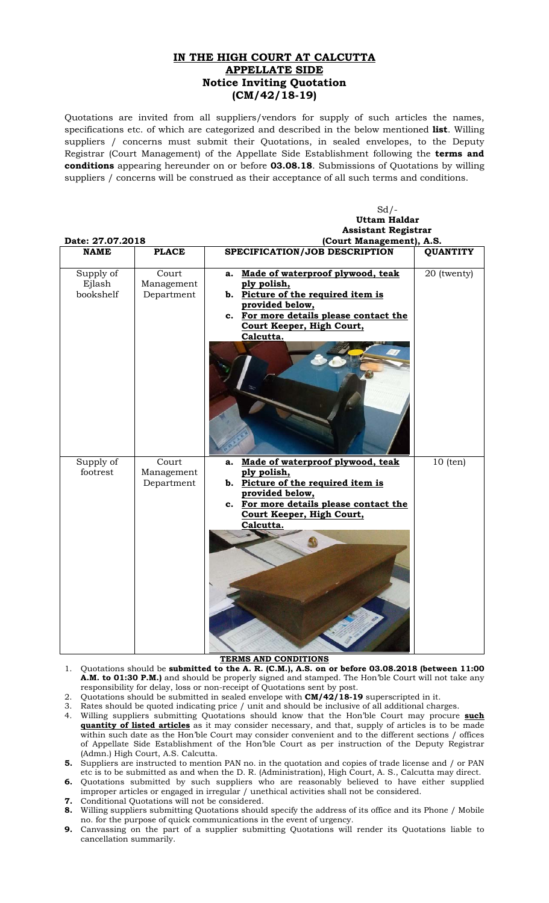## **IN THE HIGH COURT AT CALCUTTA APPELLATE SIDE Notice Inviting Quotation (CM/42/18-19)**

Quotations are invited from all suppliers/vendors for supply of such articles the names, specifications etc. of which are categorized and described in the below mentioned **list**. Willing suppliers / concerns must submit their Quotations, in sealed envelopes, to the Deputy Registrar (Court Management) of the Appellate Side Establishment following the **terms and conditions** appearing hereunder on or before **03.08.18**. Submissions of Quotations by willing suppliers / concerns will be construed as their acceptance of all such terms and conditions.

|                  |              | $Sd$ /-                                |                 |
|------------------|--------------|----------------------------------------|-----------------|
|                  |              | <b>Uttam Haldar</b>                    |                 |
|                  |              | <b>Assistant Registrar</b>             |                 |
| Date: 27.07.2018 |              | (Court Management), A.S.               |                 |
| <b>NAME</b>      | <b>PLACE</b> | SPECIFICATION/JOB DESCRIPTION          | <b>QUANTITY</b> |
|                  |              |                                        |                 |
| Supply of        | Court        | Made of waterproof plywood, teak<br>а. | 20 (twenty)     |
| Ejlash           | Management   | ply polish,                            |                 |
| bookshelf        | Department   | b. Picture of the required item is     |                 |
|                  |              | provided below,                        |                 |
|                  |              | c. For more details please contact the |                 |
|                  |              | Court Keeper, High Court,              |                 |
|                  |              | Calcutta.                              |                 |
|                  |              |                                        |                 |
|                  |              |                                        |                 |
|                  |              |                                        |                 |
|                  |              |                                        |                 |
|                  |              |                                        |                 |
|                  |              |                                        |                 |
|                  |              |                                        |                 |
|                  |              |                                        |                 |
|                  |              |                                        |                 |
|                  |              |                                        |                 |
| Supply of        | Court        | Made of waterproof plywood, teak<br>a. | $10$ (ten)      |
| footrest         | Management   | ply polish,                            |                 |
|                  | Department   | b. Picture of the required item is     |                 |
|                  |              | provided below,                        |                 |
|                  |              | c. For more details please contact the |                 |
|                  |              | Court Keeper, High Court,              |                 |
|                  |              | Calcutta.                              |                 |
|                  |              |                                        |                 |
|                  |              |                                        |                 |
|                  |              |                                        |                 |
|                  |              |                                        |                 |
|                  |              |                                        |                 |
|                  |              |                                        |                 |
|                  |              |                                        |                 |
|                  |              |                                        |                 |
|                  |              |                                        |                 |
|                  |              |                                        |                 |
|                  |              |                                        |                 |
|                  |              |                                        |                 |

## **TERMS AND CONDITIONS**

- 1. Quotations should be **submitted to the A. R. (C.M.), A.S. on or before 03.08.2018 (between 11:00 A.M. to 01:30 P.M.)** and should be properly signed and stamped. The Hon'ble Court will not take any responsibility for delay, loss or non-receipt of Quotations sent by post.
- 2. Quotations should be submitted in sealed envelope with **CM/42/18-19** superscripted in it.
- 3. Rates should be quoted indicating price / unit and should be inclusive of all additional charges.
- 4. Willing suppliers submitting Quotations should know that the Hon'ble Court may procure **such quantity of listed articles** as it may consider necessary, and that, supply of articles is to be made within such date as the Hon'ble Court may consider convenient and to the different sections / offices of Appellate Side Establishment of the Hon'ble Court as per instruction of the Deputy Registrar (Admn.) High Court, A.S. Calcutta.
- **5.** Suppliers are instructed to mention PAN no. in the quotation and copies of trade license and / or PAN etc is to be submitted as and when the D. R. (Administration), High Court, A. S., Calcutta may direct.
- **6.** Quotations submitted by such suppliers who are reasonably believed to have either supplied improper articles or engaged in irregular / unethical activities shall not be considered.
- **7.** Conditional Quotations will not be considered.
- **8.** Willing suppliers submitting Quotations should specify the address of its office and its Phone / Mobile no. for the purpose of quick communications in the event of urgency.
- **9.** Canvassing on the part of a supplier submitting Quotations will render its Quotations liable to cancellation summarily.